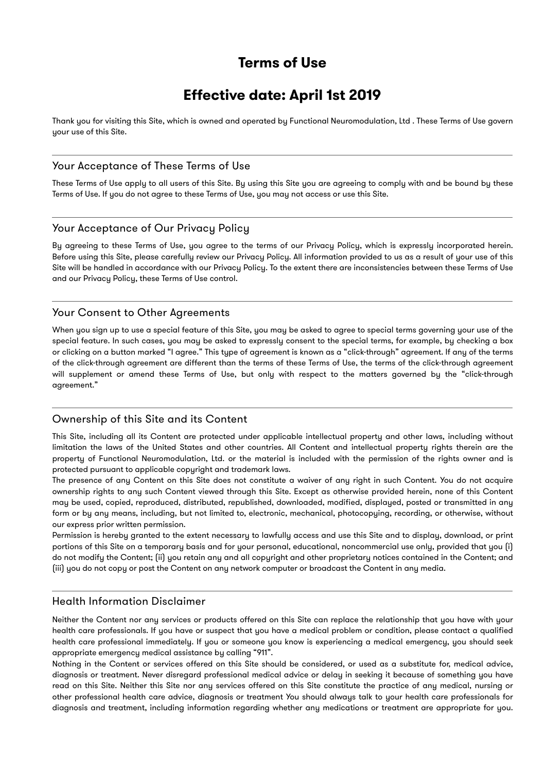# **Terms of Use**

# **Effective date: April 1st 2019**

Thank you for visiting this Site, which is owned and operated by Functional Neuromodulation, Ltd . These Terms of Use govern your use of this Site.

# Your Acceptance of These Terms of Use

These Terms of Use apply to all users of this Site. By using this Site you are agreeing to comply with and be bound by these Terms of Use. If you do not agree to these Terms of Use, you may not access or use this Site.

## Your Acceptance of Our Privacy Policy

By agreeing to these Terms of Use, you agree to the terms of our Privacy Policy, which is expressly incorporated herein. Before using this Site, please carefully review our Privacy Policy. All information provided to us as a result of your use of this Site will be handled in accordance with our Privacy Policy. To the extent there are inconsistencies between these Terms of Use and our Privacy Policy, these Terms of Use control.

## Your Consent to Other Agreements

When you sign up to use a special feature of this Site, you may be asked to agree to special terms governing your use of the special feature. In such cases, you may be asked to expressly consent to the special terms, for example, by checking a box or clicking on a button marked "I agree." This type of agreement is known as a "click-through" agreement. If any of the terms of the click-through agreement are different than the terms of these Terms of Use, the terms of the click-through agreement will supplement or amend these Terms of Use, but only with respect to the matters governed by the "click-through agreement."

## Ownership of this Site and its Content

This Site, including all its Content are protected under applicable intellectual property and other laws, including without limitation the laws of the United States and other countries. All Content and intellectual property rights therein are the property of Functional Neuromodulation, Ltd. or the material is included with the permission of the rights owner and is protected pursuant to applicable copyright and trademark laws.

The presence of any Content on this Site does not constitute a waiver of any right in such Content. You do not acquire ownership rights to any such Content viewed through this Site. Except as otherwise provided herein, none of this Content may be used, copied, reproduced, distributed, republished, downloaded, modified, displayed, posted or transmitted in any form or by any means, including, but not limited to, electronic, mechanical, photocopying, recording, or otherwise, without our express prior written permission.

Permission is hereby granted to the extent necessary to lawfully access and use this Site and to display, download, or print portions of this Site on a temporary basis and for your personal, educational, noncommercial use only, provided that you (i) do not modify the Content; (ii) you retain any and all copyright and other proprietary notices contained in the Content; and (iii) you do not copy or post the Content on any network computer or broadcast the Content in any media.

# Health Information Disclaimer

Neither the Content nor any services or products offered on this Site can replace the relationship that you have with your health care professionals. If you have or suspect that you have a medical problem or condition, please contact a qualified health care professional immediately. If you or someone you know is experiencing a medical emergency, you should seek appropriate emergency medical assistance by calling "911".

Nothing in the Content or services offered on this Site should be considered, or used as a substitute for, medical advice, diagnosis or treatment. Never disregard professional medical advice or delay in seeking it because of something you have read on this Site. Neither this Site nor any services offered on this Site constitute the practice of any medical, nursing or other professional health care advice, diagnosis or treatment You should always talk to your health care professionals for diagnosis and treatment, including information regarding whether any medications or treatment are appropriate for you.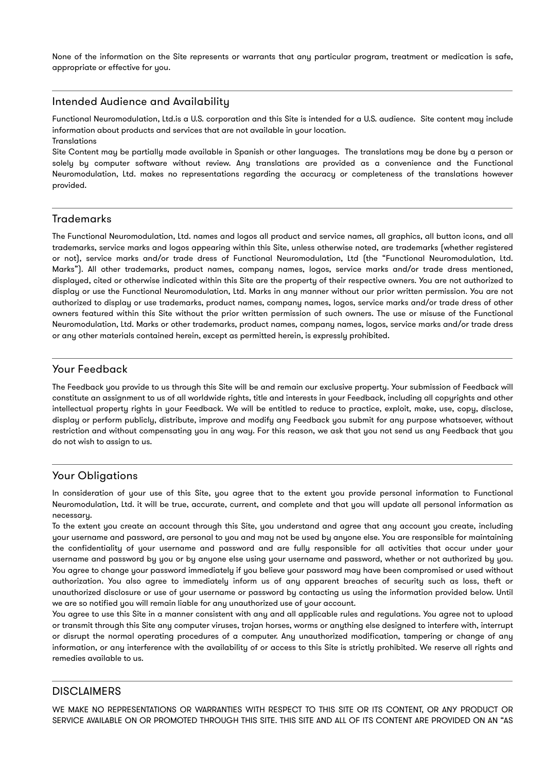None of the information on the Site represents or warrants that any particular program, treatment or medication is safe, appropriate or effective for you.

## Intended Audience and Availability

Functional Neuromodulation, Ltd.is a U.S. corporation and this Site is intended for a U.S. audience. Site content may include information about products and services that are not available in your location. Translations

Site Content may be partially made available in Spanish or other languages. The translations may be done by a person or solely by computer software without review. Any translations are provided as a convenience and the Functional Neuromodulation, Ltd. makes no representations regarding the accuracy or completeness of the translations however provided.

# Trademarks

The Functional Neuromodulation, Ltd. names and logos all product and service names, all graphics, all button icons, and all trademarks, service marks and logos appearing within this Site, unless otherwise noted, are trademarks (whether registered or not), service marks and/or trade dress of Functional Neuromodulation, Ltd (the "Functional Neuromodulation, Ltd. Marks"). All other trademarks, product names, company names, logos, service marks and/or trade dress mentioned, displayed, cited or otherwise indicated within this Site are the property of their respective owners. You are not authorized to display or use the Functional Neuromodulation, Ltd. Marks in any manner without our prior written permission. You are not authorized to display or use trademarks, product names, company names, logos, service marks and/or trade dress of other owners featured within this Site without the prior written permission of such owners. The use or misuse of the Functional Neuromodulation, Ltd. Marks or other trademarks, product names, company names, logos, service marks and/or trade dress or any other materials contained herein, except as permitted herein, is expressly prohibited.

# Your Feedback

The Feedback you provide to us through this Site will be and remain our exclusive property. Your submission of Feedback will constitute an assignment to us of all worldwide rights, title and interests in your Feedback, including all copyrights and other intellectual property rights in your Feedback. We will be entitled to reduce to practice, exploit, make, use, copy, disclose, display or perform publicly, distribute, improve and modify any Feedback you submit for any purpose whatsoever, without restriction and without compensating you in any way. For this reason, we ask that you not send us any Feedback that you do not wish to assign to us.

# Your Obligations

In consideration of your use of this Site, you agree that to the extent you provide personal information to Functional Neuromodulation, Ltd. it will be true, accurate, current, and complete and that you will update all personal information as necessary.

To the extent you create an account through this Site, you understand and agree that any account you create, including your username and password, are personal to you and may not be used by anyone else. You are responsible for maintaining the confidentiality of your username and password and are fully responsible for all activities that occur under your username and password by you or by anyone else using your username and password, whether or not authorized by you. You agree to change your password immediately if you believe your password may have been compromised or used without authorization. You also agree to immediately inform us of any apparent breaches of security such as loss, theft or unauthorized disclosure or use of your username or password by contacting us using the information provided below. Until we are so notified you will remain liable for any unauthorized use of your account.

You agree to use this Site in a manner consistent with any and all applicable rules and regulations. You agree not to upload or transmit through this Site any computer viruses, trojan horses, worms or anything else designed to interfere with, interrupt or disrupt the normal operating procedures of a computer. Any unauthorized modification, tampering or change of any information, or any interference with the availability of or access to this Site is strictly prohibited. We reserve all rights and remedies available to us.

## **DISCLAIMERS**

WE MAKE NO REPRESENTATIONS OR WARRANTIES WITH RESPECT TO THIS SITE OR ITS CONTENT, OR ANY PRODUCT OR SERVICE AVAILABLE ON OR PROMOTED THROUGH THIS SITE. THIS SITE AND ALL OF ITS CONTENT ARE PROVIDED ON AN "AS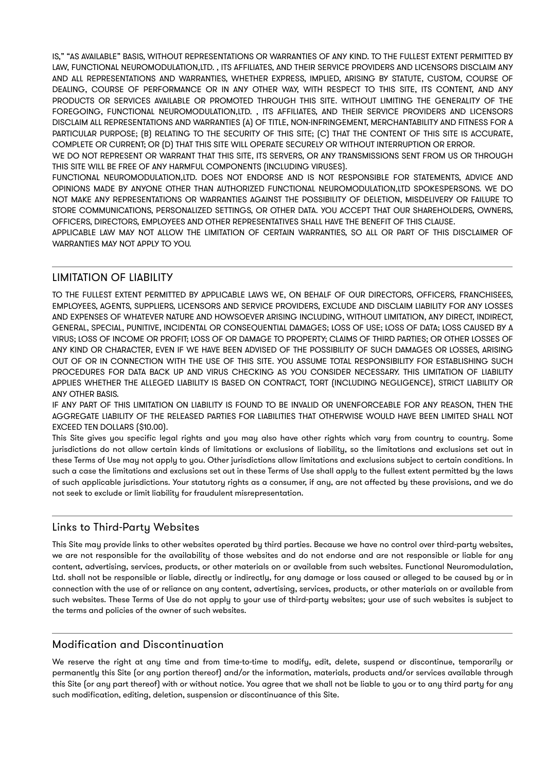IS," "AS AVAILABLE" BASIS, WITHOUT REPRESENTATIONS OR WARRANTIES OF ANY KIND. TO THE FULLEST EXTENT PERMITTED BY LAW, FUNCTIONAL NEUROMODULATION,LTD. , ITS AFFILIATES, AND THEIR SERVICE PROVIDERS AND LICENSORS DISCLAIM ANY AND ALL REPRESENTATIONS AND WARRANTIES, WHETHER EXPRESS, IMPLIED, ARISING BY STATUTE, CUSTOM, COURSE OF DEALING, COURSE OF PERFORMANCE OR IN ANY OTHER WAY, WITH RESPECT TO THIS SITE, ITS CONTENT, AND ANY PRODUCTS OR SERVICES AVAILABLE OR PROMOTED THROUGH THIS SITE. WITHOUT LIMITING THE GENERALITY OF THE FOREGOING, FUNCTIONAL NEUROMODULATION,LTD. , ITS AFFILIATES, AND THEIR SERVICE PROVIDERS AND LICENSORS DISCLAIM ALL REPRESENTATIONS AND WARRANTIES (A) OF TITLE, NON-INFRINGEMENT, MERCHANTABILITY AND FITNESS FOR A PARTICULAR PURPOSE; (B) RELATING TO THE SECURITY OF THIS SITE; (C) THAT THE CONTENT OF THIS SITE IS ACCURATE, COMPLETE OR CURRENT; OR (D) THAT THIS SITE WILL OPERATE SECURELY OR WITHOUT INTERRUPTION OR ERROR.

WE DO NOT REPRESENT OR WARRANT THAT THIS SITE, ITS SERVERS, OR ANY TRANSMISSIONS SENT FROM US OR THROUGH THIS SITE WILL BE FREE OF ANY HARMFUL COMPONENTS (INCLUDING VIRUSES).

FUNCTIONAL NEUROMODULATION,LTD. DOES NOT ENDORSE AND IS NOT RESPONSIBLE FOR STATEMENTS, ADVICE AND OPINIONS MADE BY ANYONE OTHER THAN AUTHORIZED FUNCTIONAL NEUROMODULATION,LTD SPOKESPERSONS. WE DO NOT MAKE ANY REPRESENTATIONS OR WARRANTIES AGAINST THE POSSIBILITY OF DELETION, MISDELIVERY OR FAILURE TO STORE COMMUNICATIONS, PERSONALIZED SETTINGS, OR OTHER DATA. YOU ACCEPT THAT OUR SHAREHOLDERS, OWNERS, OFFICERS, DIRECTORS, EMPLOYEES AND OTHER REPRESENTATIVES SHALL HAVE THE BENEFIT OF THIS CLAUSE.

APPLICABLE LAW MAY NOT ALLOW THE LIMITATION OF CERTAIN WARRANTIES, SO ALL OR PART OF THIS DISCLAIMER OF WARRANTIES MAY NOT APPLY TO YOU.

# LIMITATION OF LIABILITY

TO THE FULLEST EXTENT PERMITTED BY APPLICABLE LAWS WE, ON BEHALF OF OUR DIRECTORS, OFFICERS, FRANCHISEES, EMPLOYEES, AGENTS, SUPPLIERS, LICENSORS AND SERVICE PROVIDERS, EXCLUDE AND DISCLAIM LIABILITY FOR ANY LOSSES AND EXPENSES OF WHATEVER NATURE AND HOWSOEVER ARISING INCLUDING, WITHOUT LIMITATION, ANY DIRECT, INDIRECT, GENERAL, SPECIAL, PUNITIVE, INCIDENTAL OR CONSEQUENTIAL DAMAGES; LOSS OF USE; LOSS OF DATA; LOSS CAUSED BY A VIRUS; LOSS OF INCOME OR PROFIT; LOSS OF OR DAMAGE TO PROPERTY; CLAIMS OF THIRD PARTIES; OR OTHER LOSSES OF ANY KIND OR CHARACTER, EVEN IF WE HAVE BEEN ADVISED OF THE POSSIBILITY OF SUCH DAMAGES OR LOSSES, ARISING OUT OF OR IN CONNECTION WITH THE USE OF THIS SITE. YOU ASSUME TOTAL RESPONSIBILITY FOR ESTABLISHING SUCH PROCEDURES FOR DATA BACK UP AND VIRUS CHECKING AS YOU CONSIDER NECESSARY. THIS LIMITATION OF LIABILITY APPLIES WHETHER THE ALLEGED LIABILITY IS BASED ON CONTRACT, TORT (INCLUDING NEGLIGENCE), STRICT LIABILITY OR ANY OTHER BASIS.

IF ANY PART OF THIS LIMITATION ON LIABILITY IS FOUND TO BE INVALID OR UNENFORCEABLE FOR ANY REASON, THEN THE AGGREGATE LIABILITY OF THE RELEASED PARTIES FOR LIABILITIES THAT OTHERWISE WOULD HAVE BEEN LIMITED SHALL NOT EXCEED TEN DOLLARS (\$10.00).

This Site gives you specific legal rights and you may also have other rights which vary from country to country. Some jurisdictions do not allow certain kinds of limitations or exclusions of liability, so the limitations and exclusions set out in these Terms of Use may not apply to you. Other jurisdictions allow limitations and exclusions subject to certain conditions. In such a case the limitations and exclusions set out in these Terms of Use shall apply to the fullest extent permitted by the laws of such applicable jurisdictions. Your statutory rights as a consumer, if any, are not affected by these provisions, and we do not seek to exclude or limit liability for fraudulent misrepresentation.

# Links to Third-Party Websites

This Site may provide links to other websites operated by third parties. Because we have no control over third-party websites, we are not responsible for the availability of those websites and do not endorse and are not responsible or liable for any content, advertising, services, products, or other materials on or available from such websites. Functional Neuromodulation, Ltd. shall not be responsible or liable, directly or indirectly, for any damage or loss caused or alleged to be caused by or in connection with the use of or reliance on any content, advertising, services, products, or other materials on or available from such websites. These Terms of Use do not apply to your use of third-party websites; your use of such websites is subject to the terms and policies of the owner of such websites.

# Modification and Discontinuation

We reserve the right at any time and from time-to-time to modify, edit, delete, suspend or discontinue, temporarily or permanently this Site (or any portion thereof) and/or the information, materials, products and/or services available through this Site (or any part thereof) with or without notice. You agree that we shall not be liable to you or to any third party for any such modification, editing, deletion, suspension or discontinuance of this Site.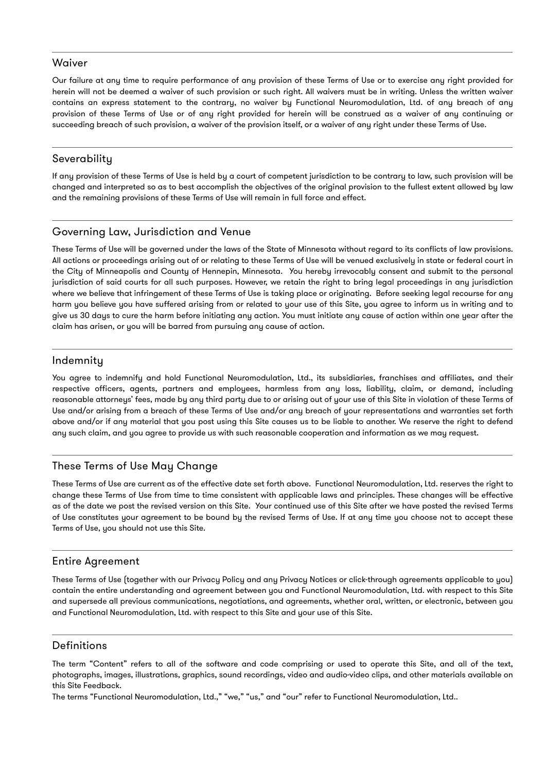#### **Waiver**

Our failure at any time to require performance of any provision of these Terms of Use or to exercise any right provided for herein will not be deemed a waiver of such provision or such right. All waivers must be in writing. Unless the written waiver contains an express statement to the contrary, no waiver by Functional Neuromodulation, Ltd. of any breach of any provision of these Terms of Use or of any right provided for herein will be construed as a waiver of any continuing or succeeding breach of such provision, a waiver of the provision itself, or a waiver of any right under these Terms of Use.

## **Severability**

If any provision of these Terms of Use is held by a court of competent jurisdiction to be contrary to law, such provision will be changed and interpreted so as to best accomplish the objectives of the original provision to the fullest extent allowed by law and the remaining provisions of these Terms of Use will remain in full force and effect.

# Governing Law, Jurisdiction and Venue

These Terms of Use will be governed under the laws of the State of Minnesota without regard to its conflicts of law provisions. All actions or proceedings arising out of or relating to these Terms of Use will be venued exclusively in state or federal court in the City of Minneapolis and County of Hennepin, Minnesota. You hereby irrevocably consent and submit to the personal jurisdiction of said courts for all such purposes. However, we retain the right to bring legal proceedings in any jurisdiction where we believe that infringement of these Terms of Use is taking place or originating. Before seeking legal recourse for any harm you believe you have suffered arising from or related to your use of this Site, you agree to inform us in writing and to give us 30 days to cure the harm before initiating any action. You must initiate any cause of action within one year after the claim has arisen, or you will be barred from pursuing any cause of action.

## Indemnity

You agree to indemnify and hold Functional Neuromodulation, Ltd., its subsidiaries, franchises and affiliates, and their respective officers, agents, partners and employees, harmless from any loss, liability, claim, or demand, including reasonable attorneys' fees, made by any third party due to or arising out of your use of this Site in violation of these Terms of Use and/or arising from a breach of these Terms of Use and/or any breach of your representations and warranties set forth above and/or if any material that you post using this Site causes us to be liable to another. We reserve the right to defend any such claim, and you agree to provide us with such reasonable cooperation and information as we may request.

## These Terms of Use May Change

These Terms of Use are current as of the effective date set forth above. Functional Neuromodulation, Ltd. reserves the right to change these Terms of Use from time to time consistent with applicable laws and principles. These changes will be effective as of the date we post the revised version on this Site. Your continued use of this Site after we have posted the revised Terms of Use constitutes your agreement to be bound by the revised Terms of Use. If at any time you choose not to accept these Terms of Use, you should not use this Site.

#### Entire Agreement

These Terms of Use (together with our Privacy Policy and any Privacy Notices or click-through agreements applicable to you) contain the entire understanding and agreement between you and Functional Neuromodulation, Ltd. with respect to this Site and supersede all previous communications, negotiations, and agreements, whether oral, written, or electronic, between you and Functional Neuromodulation, Ltd. with respect to this Site and your use of this Site.

## Definitions

The term "Content" refers to all of the software and code comprising or used to operate this Site, and all of the text, photographs, images, illustrations, graphics, sound recordings, video and audio-video clips, and other materials available on this Site Feedback.

The terms "Functional Neuromodulation, Ltd.," "we," "us," and "our" refer to Functional Neuromodulation, Ltd..